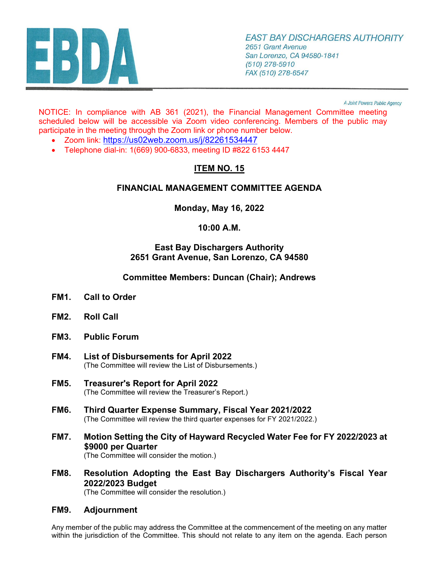

A Joint Powers Public Agency

NOTICE: In compliance with AB 361 (2021), the Financial Management Committee meeting scheduled below will be accessible via Zoom video conferencing. Members of the public may participate in the meeting through the Zoom link or phone number below.

- Zoom link:<https://us02web.zoom.us/j/82261534447>
- Telephone dial-in: 1(669) 900-6833, meeting ID #822 6153 4447

# **ITEM NO. 15**

# **FINANCIAL MANAGEMENT COMMITTEE AGENDA**

**Monday, May 16, 2022** 

# **10:00 A.M.**

# **East Bay Dischargers Authority 2651 Grant Avenue, San Lorenzo, CA 94580**

# **Committee Members: Duncan (Chair); Andrews**

- **FM1. Call to Order**
- **FM2. Roll Call**
- **FM3. Public Forum**
- **FM4. [List of Disbursements for April](#page-3-0) 2022**  (The Committee will review the List of Disbursements.)
- **FM5. [Treasurer's Report for April](#page-6-0) 2022**  (The Committee will review the Treasurer's Report.)
- **FM6. [Third Quarter Expense Summary, Fiscal Year 2021/2022](#page-8-0)** (The Committee will review the third quarter expenses for FY 2021/2022.)
- **FM7. [Motion Setting the City of Hayward Recycled Water Fee for FY 2022/2023 at](#page-11-0) \$9000 per Quarter**

(The Committee will consider the motion.)

**FM8. [Resolution Adopting the East Bay Dischargers Authority's Fiscal Year](#page-13-0) 2022/2023 Budget**

(The Committee will consider the resolution.)

### **FM9. Adjournment**

Any member of the public may address the Committee at the commencement of the meeting on any matter within the jurisdiction of the Committee. This should not relate to any item on the agenda. Each person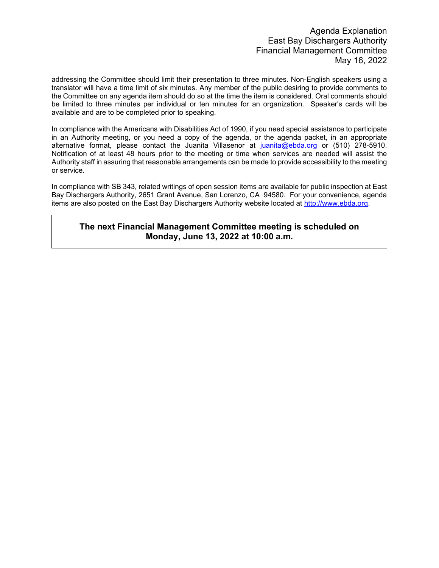addressing the Committee should limit their presentation to three minutes. Non-English speakers using a translator will have a time limit of six minutes. Any member of the public desiring to provide comments to the Committee on any agenda item should do so at the time the item is considered. Oral comments should be limited to three minutes per individual or ten minutes for an organization. Speaker's cards will be available and are to be completed prior to speaking.

In compliance with the Americans with Disabilities Act of 1990, if you need special assistance to participate in an Authority meeting, or you need a copy of the agenda, or the agenda packet, in an appropriate alternative format, please contact the Juanita Villasenor at [juanita@ebda.org](mailto:juanita@ebda.org) or (510) 278-5910. Notification of at least 48 hours prior to the meeting or time when services are needed will assist the Authority staff in assuring that reasonable arrangements can be made to provide accessibility to the meeting or service.

In compliance with SB 343, related writings of open session items are available for public inspection at East Bay Dischargers Authority, 2651 Grant Avenue, San Lorenzo, CA 94580. For your convenience, agenda items are also posted on the East Bay Dischargers Authority website located at [http://www.ebda.org.](http://www.ebda.org/)

### **The next Financial Management Committee meeting is scheduled on Monday, June 13, 2022 at 10:00 a.m.**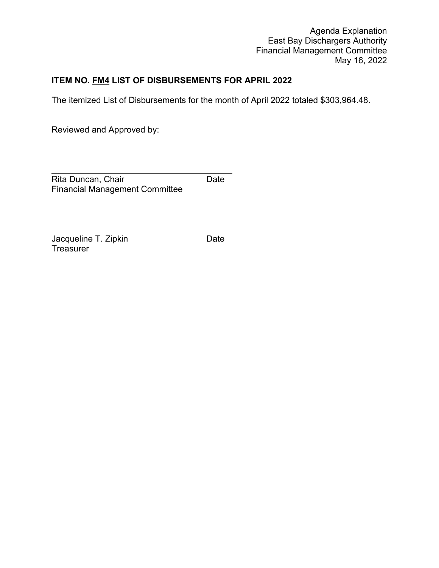# **ITEM NO. FM4 LIST OF DISBURSEMENTS FOR APRIL 2022**

The itemized List of Disbursements for the month of April 2022 totaled \$303,964.48.

Reviewed and Approved by:

 $\overline{a}$ Rita Duncan, Chair **Date** Financial Management Committee

 $\overline{a}$ Jacqueline T. Zipkin Date **Treasurer**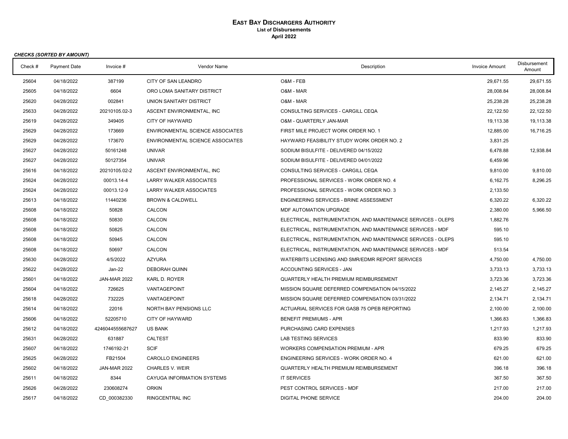#### **EAST BAY DISCHARGERS AUTHORITY List of Disbursements April 2022**

<span id="page-3-0"></span>

|         | <b>CHECKS (SORTED BY AMOUNT)</b> |                     |                                  |                                                               |                       |                               |
|---------|----------------------------------|---------------------|----------------------------------|---------------------------------------------------------------|-----------------------|-------------------------------|
| Check # | <b>Payment Date</b>              | Invoice $#$         | Vendor Name                      | Description                                                   | <b>Invoice Amount</b> | <b>Disbursement</b><br>Amount |
| 25604   | 04/18/2022                       | 387199              | CITY OF SAN LEANDRO              | O&M - FEB                                                     | 29,671.55             | 29,671.55                     |
| 25605   | 04/18/2022                       | 6604                | ORO LOMA SANITARY DISTRICT       | O&M - MAR                                                     | 28,008.84             | 28,008.84                     |
| 25620   | 04/28/2022                       | 002841              | UNION SANITARY DISTRICT          | O&M - MAR                                                     | 25,238.28             | 25,238.28                     |
| 25633   | 04/28/2022                       | 20210105.02-3       | ASCENT ENVIRONMENTAL, INC        | CONSULTING SERVICES - CARGILL CEQA                            | 22,122.50             | 22,122.50                     |
| 25619   | 04/28/2022                       | 349405              | <b>CITY OF HAYWARD</b>           | O&M - QUARTERLY JAN-MAR                                       | 19,113.38             | 19,113.38                     |
| 25629   | 04/28/2022                       | 173669              | ENVIRONMENTAL SCIENCE ASSOCIATES | FIRST MILE PROJECT WORK ORDER NO. 1                           | 12,885.00             | 16,716.25                     |
| 25629   | 04/28/2022                       | 173670              | ENVIRONMENTAL SCIENCE ASSOCIATES | HAYWARD FEASIBILITY STUDY WORK ORDER NO. 2                    | 3,831.25              |                               |
| 25627   | 04/28/2022                       | 50161248            | <b>UNIVAR</b>                    | SODIUM BISULFITE - DELIVERED 04/15/2022                       | 6,478.88              | 12,938.84                     |
| 25627   | 04/28/2022                       | 50127354            | <b>UNIVAR</b>                    | SODIUM BISULFITE - DELIVERED 04/01/2022                       | 6,459.96              |                               |
| 25616   | 04/18/2022                       | 20210105.02-2       | ASCENT ENVIRONMENTAL. INC        | CONSULTING SERVICES - CARGILL CEQA                            | 9,810.00              | 9.810.00                      |
| 25624   | 04/28/2022                       | 00013.14-4          | <b>LARRY WALKER ASSOCIATES</b>   | PROFESSIONAL SERVICES - WORK ORDER NO. 4                      | 6,162.75              | 8.296.25                      |
| 25624   | 04/28/2022                       | 00013.12-9          | <b>LARRY WALKER ASSOCIATES</b>   | PROFESSIONAL SERVICES - WORK ORDER NO. 3                      | 2,133.50              |                               |
| 25613   | 04/18/2022                       | 11440236            | <b>BROWN &amp; CALDWELL</b>      | <b>ENGINEERING SERVICES - BRINE ASSESSMENT</b>                | 6,320.22              | 6,320.22                      |
| 25608   | 04/18/2022                       | 50828               | CALCON                           | MDF AUTOMATION UPGRADE                                        | 2,380.00              | 5,966.50                      |
| 25608   | 04/18/2022                       | 50830               | CALCON                           | ELECTRICAL, INSTRUMENTATION, AND MAINTENANCE SERVICES - OLEPS | 1,882.76              |                               |
| 25608   | 04/18/2022                       | 50825               | CALCON                           | ELECTRICAL, INSTRUMENTATION, AND MAINTENANCE SERVICES - MDF   | 595.10                |                               |
| 25608   | 04/18/2022                       | 50945               | CALCON                           | ELECTRICAL, INSTRUMENTATION, AND MAINTENANCE SERVICES - OLEPS | 595.10                |                               |
| 25608   | 04/18/2022                       | 50697               | CALCON                           | ELECTRICAL, INSTRUMENTATION, AND MAINTENANCE SERVICES - MDF   | 513.54                |                               |
| 25630   | 04/28/2022                       | 4/5/2022            | <b>AZYURA</b>                    | WATERBITS LICENSING AND SMR/EDMR REPORT SERVICES              | 4,750.00              | 4,750.00                      |
| 25622   | 04/28/2022                       | Jan-22              | <b>DEBORAH QUINN</b>             | ACCOUNTING SERVICES - JAN                                     | 3,733.13              | 3,733.13                      |
| 25601   | 04/18/2022                       | <b>JAN-MAR 2022</b> | KARL D. ROYER                    | QUARTERLY HEALTH PREMIUM REIMBURSEMENT                        | 3,723.36              | 3,723.36                      |
| 25604   | 04/18/2022                       | 726625              | VANTAGEPOINT                     | MISSION SQUARE DEFERRED COMPENSATION 04/15/2022               | 2,145.27              | 2,145.27                      |
| 25618   | 04/28/2022                       | 732225              | VANTAGEPOINT                     | MISSION SQUARE DEFERRED COMPENSATION 03/31/2022               | 2,134.71              | 2,134.71                      |
| 25614   | 04/18/2022                       | 22016               | NORTH BAY PENSIONS LLC           | ACTUARIAL SERVICES FOR GASB 75 OPEB REPORTING                 | 2,100.00              | 2.100.00                      |
| 25606   | 04/18/2022                       | 52205710            | <b>CITY OF HAYWARD</b>           | <b>BENEFIT PREMIUMS - APR</b>                                 | 1,366.83              | 1,366.83                      |
| 25612   | 04/18/2022                       | 4246044555687627    | <b>US BANK</b>                   | PURCHASING CARD EXPENSES                                      | 1,217.93              | 1,217.93                      |
| 25631   | 04/28/2022                       | 631887              | <b>CALTEST</b>                   | LAB TESTING SERVICES                                          | 833.90                | 833.90                        |
| 25607   | 04/18/2022                       | 1746192-21          | <b>SCIF</b>                      | <b>WORKERS COMPENSATION PREMIUM - APR</b>                     | 679.25                | 679.25                        |
| 25625   | 04/28/2022                       | FB21504             | <b>CAROLLO ENGINEERS</b>         | ENGINEERING SERVICES - WORK ORDER NO. 4                       | 621.00                | 621.00                        |
| 25602   | 04/18/2022                       | <b>JAN-MAR 2022</b> | <b>CHARLES V. WEIR</b>           | <b>QUARTERLY HEALTH PREMIUM REIMBURSEMENT</b>                 | 396.18                | 396.18                        |
| 25611   | 04/18/2022                       | 8344                | CAYUGA INFORMATION SYSTEMS       | <b>IT SERVICES</b>                                            | 367.50                | 367.50                        |
| 25626   | 04/28/2022                       | 230608274           | <b>ORKIN</b>                     | PEST CONTROL SERVICES - MDF                                   | 217.00                | 217.00                        |
| 25617   | 04/18/2022                       | CD 000382330        | RINGCENTRAL INC                  | <b>DIGITAL PHONE SERVICE</b>                                  | 204.00                | 204.00                        |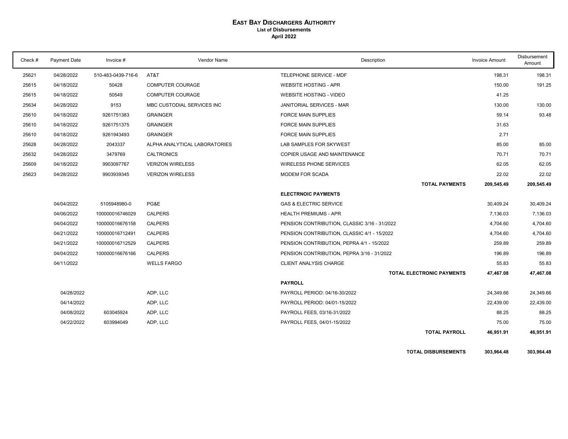#### **EAST BAY DISCHARGERS AUTHORITY List of Disbursements April 2022**

| Check # | Payment Date | Invoice #          | Vendor Name                   | Description                                  | <b>Invoice Amount</b> | Disbursement<br>Amount |
|---------|--------------|--------------------|-------------------------------|----------------------------------------------|-----------------------|------------------------|
| 25621   | 04/28/2022   | 510-483-0439-716-6 | AT&T                          | TELEPHONE SERVICE - MDF                      | 198.31                | 198.31                 |
| 25615   | 04/18/2022   | 50428              | <b>COMPUTER COURAGE</b>       | <b>WEBSITE HOSTING - APR</b>                 | 150.00                | 191.25                 |
| 25615   | 04/18/2022   | 50549              | <b>COMPUTER COURAGE</b>       | <b>WEBSITE HOSTING - VIDEO</b>               | 41.25                 |                        |
| 25634   | 04/28/2022   | 9153               | MBC CUSTODIAL SERVICES INC    | <b>JANITORIAL SERVICES - MAR</b>             | 130.00                | 130.00                 |
| 25610   | 04/18/2022   | 9261751383         | <b>GRAINGER</b>               | <b>FORCE MAIN SUPPLIES</b>                   | 59.14                 | 93.48                  |
| 25610   | 04/18/2022   | 9261751375         | <b>GRAINGER</b>               | <b>FORCE MAIN SUPPLIES</b>                   | 31.63                 |                        |
| 25610   | 04/18/2022   | 9261943493         | <b>GRAINGER</b>               | <b>FORCE MAIN SUPPLIES</b>                   | 2.71                  |                        |
| 25628   | 04/28/2022   | 2043337            | ALPHA ANALYTICAL LABORATORIES | LAB SAMPLES FOR SKYWEST                      | 85.00                 | 85.00                  |
| 25632   | 04/28/2022   | 3479769            | <b>CALTRONICS</b>             | COPIER USAGE AND MAINTENANCE                 | 70.71                 | 70.71                  |
| 25609   | 04/18/2022   | 9903097767         | <b>VERIZON WIRELESS</b>       | <b>WIRELESS PHONE SERVICES</b>               | 62.05                 | 62.05                  |
| 25623   | 04/28/2022   | 9903939345         | <b>VERIZON WIRELESS</b>       | MODEM FOR SCADA                              | 22.02                 | 22.02                  |
|         |              |                    |                               | <b>TOTAL PAYMENTS</b>                        | 209,545.49            | 209,545.49             |
|         |              |                    |                               | <b>ELECTRNOIC PAYMENTS</b>                   |                       |                        |
|         | 04/04/2022   | 5105948980-0       | PG&E                          | <b>GAS &amp; ELECTRIC SERVICE</b>            | 30,409.24             | 30,409.24              |
|         | 04/06/2022   | 100000016746029    | <b>CALPERS</b>                | <b>HEALTH PREMIUMS - APR</b>                 | 7,136.03              | 7,136.03               |
|         | 04/04/2022   | 100000016676158    | <b>CALPERS</b>                | PENSION CONTRIBUTION, CLASSIC 3/16 - 31/2022 | 4,704.60              | 4,704.60               |
|         | 04/21/2022   | 100000016712491    | <b>CALPERS</b>                | PENSION CONTRIBUTION, CLASSIC 4/1 - 15/2022  | 4,704.60              | 4,704.60               |
|         | 04/21/2022   | 100000016712529    | <b>CALPERS</b>                | PENSION CONTRIBUTION, PEPRA 4/1 - 15/2022    | 259.89                | 259.89                 |
|         | 04/04/2022   | 100000016676166    | <b>CALPERS</b>                | PENSION CONTRIBUTION, PEPRA 3/16 - 31/2022   | 196.89                | 196.89                 |
|         | 04/11/2022   |                    | <b>WELLS FARGO</b>            | CLIENT ANALYSIS CHARGE                       | 55.83                 | 55.83                  |
|         |              |                    |                               | <b>TOTAL ELECTRONIC PAYMENTS</b>             | 47,467.08             | 47,467.08              |
|         |              |                    |                               | <b>PAYROLL</b>                               |                       |                        |
|         | 04/28/2022   |                    | ADP, LLC                      | PAYROLL PERIOD: 04/16-30/2022                | 24,349.66             | 24,349.66              |
|         | 04/14/2022   |                    | ADP, LLC                      | PAYROLL PERIOD: 04/01-15/2022                | 22,439.00             | 22,439.00              |
|         | 04/08/2022   | 603045924          | ADP, LLC                      | PAYROLL FEES, 03/16-31/2022                  | 88.25                 | 88.25                  |
|         | 04/22/2022   | 603994049          | ADP, LLC                      | PAYROLL FEES, 04/01-15/2022                  | 75.00                 | 75.00                  |
|         |              |                    |                               | <b>TOTAL PAYROLL</b>                         | 46.951.91             | 46,951.91              |

**TOTAL DISBURSEMENTS 303,964.48 303,964.48**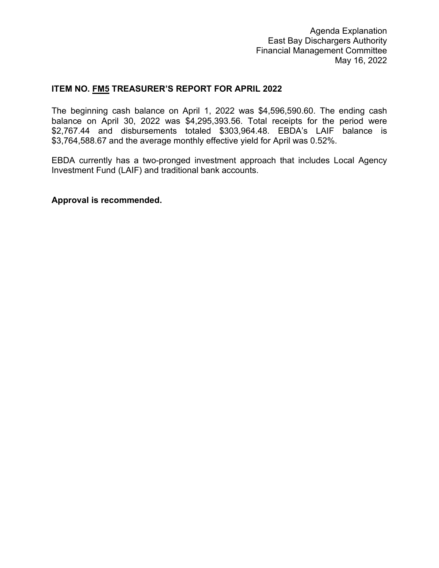# **ITEM NO. FM5 TREASURER'S REPORT FOR APRIL 2022**

The beginning cash balance on April 1, 2022 was \$4,596,590.60. The ending cash balance on April 30, 2022 was \$4,295,393.56. Total receipts for the period were \$2,767.44 and disbursements totaled \$303,964.48. EBDA's LAIF balance is \$3,764,588.67 and the average monthly effective yield for April was 0.52%.

EBDA currently has a two-pronged investment approach that includes Local Agency Investment Fund (LAIF) and traditional bank accounts.

**Approval is recommended.**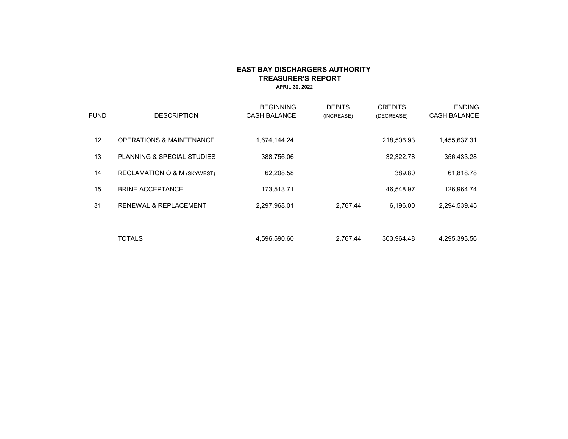#### **EAST BAY DISCHARGERS AUTHORITY TREASURER'S REPORT APRIL 30, 2022**

<span id="page-6-0"></span>

| <b>FUND</b> | <b>DESCRIPTION</b>                     | <b>BEGINNING</b><br><b>CASH BALANCE</b> | <b>DEBITS</b><br>(INCREASE) | <b>CREDITS</b><br>(DECREASE) | <b>ENDING</b><br><b>CASH BALANCE</b> |
|-------------|----------------------------------------|-----------------------------------------|-----------------------------|------------------------------|--------------------------------------|
|             |                                        |                                         |                             |                              |                                      |
| 12          | <b>OPERATIONS &amp; MAINTENANCE</b>    | 1,674,144.24                            |                             | 218,506.93                   | 1,455,637.31                         |
| 13          | PLANNING & SPECIAL STUDIES             | 388,756.06                              |                             | 32,322.78                    | 356,433.28                           |
| 14          | <b>RECLAMATION O &amp; M (SKYWEST)</b> | 62.208.58                               |                             | 389.80                       | 61,818.78                            |
| 15          | <b>BRINE ACCEPTANCE</b>                | 173,513.71                              |                             | 46,548.97                    | 126,964.74                           |
| 31          | <b>RENEWAL &amp; REPLACEMENT</b>       | 2,297,968.01                            | 2,767.44                    | 6,196.00                     | 2,294,539.45                         |
|             |                                        |                                         |                             |                              |                                      |
|             | <b>TOTALS</b>                          | 4,596,590.60                            | 2,767.44                    | 303,964.48                   | 4,295,393.56                         |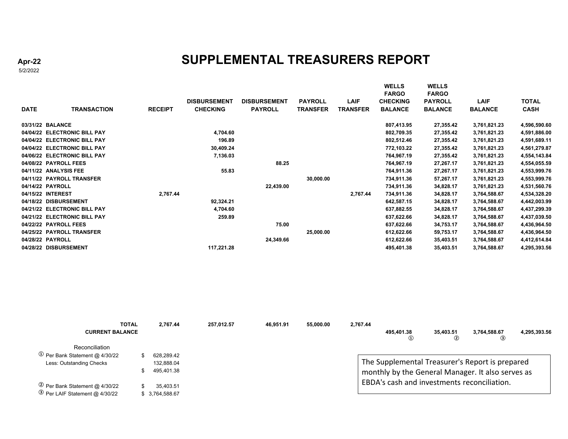# **SUPPLEMENTAL TREASURERS REPORT**

5/2/2022

| <b>DATE</b>           | <b>TRANSACTION</b>           | <b>RECEIPT</b> | <b>DISBURSEMENT</b><br><b>CHECKING</b> | <b>DISBURSEMENT</b><br><b>PAYROLL</b> | <b>PAYROLL</b><br><b>TRANSFER</b> | <b>LAIF</b><br><b>TRANSFER</b> | <b>WELLS</b><br><b>FARGO</b><br><b>CHECKING</b><br><b>BALANCE</b> | WELLS<br><b>FARGO</b><br><b>PAYROLL</b><br><b>BALANCE</b> | <b>LAIF</b><br><b>BALANCE</b> | <b>TOTAL</b><br><b>CASH</b> |
|-----------------------|------------------------------|----------------|----------------------------------------|---------------------------------------|-----------------------------------|--------------------------------|-------------------------------------------------------------------|-----------------------------------------------------------|-------------------------------|-----------------------------|
| 03/31/22 BALANCE      |                              |                |                                        |                                       |                                   |                                | 807,413.95                                                        | 27,355.42                                                 | 3,761,821.23                  | 4,596,590.60                |
|                       | 04/04/22 ELECTRONIC BILL PAY |                | 4,704.60                               |                                       |                                   |                                | 802,709.35                                                        | 27,355.42                                                 | 3,761,821.23                  | 4,591,886.00                |
|                       | 04/04/22 ELECTRONIC BILL PAY |                | 196.89                                 |                                       |                                   |                                | 802,512.46                                                        | 27,355.42                                                 | 3,761,821.23                  | 4,591,689.11                |
|                       | 04/04/22 ELECTRONIC BILL PAY |                | 30,409.24                              |                                       |                                   |                                | 772,103.22                                                        | 27,355.42                                                 | 3,761,821.23                  | 4,561,279.87                |
|                       | 04/06/22 ELECTRONIC BILL PAY |                | 7,136.03                               |                                       |                                   |                                | 764,967.19                                                        | 27,355.42                                                 | 3,761,821.23                  | 4,554,143.84                |
| 04/08/22 PAYROLL FEES |                              |                |                                        | 88.25                                 |                                   |                                | 764,967.19                                                        | 27,267.17                                                 | 3,761,821.23                  | 4,554,055.59                |
| 04/11/22 ANALYSIS FEE |                              |                | 55.83                                  |                                       |                                   |                                | 764,911.36                                                        | 27,267.17                                                 | 3,761,821.23                  | 4,553,999.76                |
|                       | 04/11/22 PAYROLL TRANSFER    |                |                                        |                                       | 30,000.00                         |                                | 734,911.36                                                        | 57,267.17                                                 | 3,761,821.23                  | 4,553,999.76                |
| 04/14/22 PAYROLL      |                              |                |                                        | 22,439.00                             |                                   |                                | 734,911.36                                                        | 34,828.17                                                 | 3,761,821.23                  | 4,531,560.76                |
| 04/15/22 INTEREST     |                              | 2,767.44       |                                        |                                       |                                   | 2,767.44                       | 734,911.36                                                        | 34,828.17                                                 | 3,764,588.67                  | 4,534,328.20                |
| 04/18/22 DISBURSEMENT |                              |                | 92,324.21                              |                                       |                                   |                                | 642,587.15                                                        | 34,828.17                                                 | 3,764,588.67                  | 4,442,003.99                |
|                       | 04/21/22 ELECTRONIC BILL PAY |                | 4,704.60                               |                                       |                                   |                                | 637,882.55                                                        | 34,828.17                                                 | 3,764,588.67                  | 4,437,299.39                |
|                       | 04/21/22 ELECTRONIC BILL PAY |                | 259.89                                 |                                       |                                   |                                | 637,622.66                                                        | 34,828.17                                                 | 3,764,588.67                  | 4,437,039.50                |
| 04/22/22 PAYROLL FEES |                              |                |                                        | 75.00                                 |                                   |                                | 637,622.66                                                        | 34,753.17                                                 | 3,764,588.67                  | 4,436,964.50                |
|                       | 04/25/22 PAYROLL TRANSFER    |                |                                        |                                       | 25,000.00                         |                                | 612,622.66                                                        | 59,753.17                                                 | 3,764,588.67                  | 4,436,964.50                |
| 04/28/22 PAYROLL      |                              |                |                                        | 24,349.66                             |                                   |                                | 612,622.66                                                        | 35,403.51                                                 | 3,764,588.67                  | 4,412,614.84                |
| 04/28/22 DISBURSEMENT |                              |                | 117,221.28                             |                                       |                                   |                                | 495,401.38                                                        | 35,403.51                                                 | 3,764,588.67                  | 4,295,393.56                |
|                       |                              |                |                                        |                                       |                                   |                                |                                                                   |                                                           |                               |                             |

| <b>TOTAL</b>                                          | 2.767.44        | 257.012.57 | 46.951.91 | 55,000.00 | 2,767.44 |            |                            |                                                   |              |
|-------------------------------------------------------|-----------------|------------|-----------|-----------|----------|------------|----------------------------|---------------------------------------------------|--------------|
| <b>CURRENT BALANCE</b>                                |                 |            |           |           |          | 495.401.38 | 35,403.51<br>$\circled{2}$ | 3,764,588.67<br>$(3)$                             | 4,295,393.56 |
| Reconciliation                                        |                 |            |           |           |          |            |                            |                                                   |              |
| $\textcircled{\tiny{1}}$ Per Bank Statement @ 4/30/22 | 628.289.42      |            |           |           |          |            |                            |                                                   |              |
| Less: Outstanding Checks                              | 132.888.04      |            |           |           |          |            |                            | The Supplemental Treasurer's Report is prepared   |              |
|                                                       | 495.401.38      |            |           |           |          |            |                            | monthly by the General Manager. It also serves as |              |
| <sup>②</sup> Per Bank Statement @ 4/30/22             | 35.403.51       |            |           |           |          |            |                            | EBDA's cash and investments reconciliation.       |              |
| $\circ$ Per LAIF Statement @ 4/30/22                  | \$ 3.764.588.67 |            |           |           |          |            |                            |                                                   |              |

**Apr-22**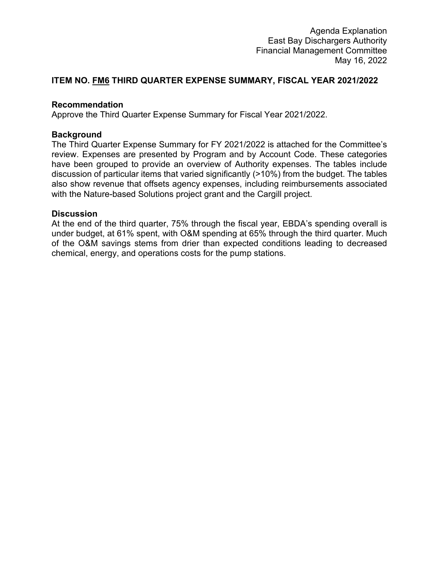# <span id="page-8-0"></span>**ITEM NO. FM6 THIRD QUARTER EXPENSE SUMMARY, FISCAL YEAR 2021/2022**

# **Recommendation**

Approve the Third Quarter Expense Summary for Fiscal Year 2021/2022.

# **Background**

The Third Quarter Expense Summary for FY 2021/2022 is attached for the Committee's review. Expenses are presented by Program and by Account Code. These categories have been grouped to provide an overview of Authority expenses. The tables include discussion of particular items that varied significantly (>10%) from the budget. The tables also show revenue that offsets agency expenses, including reimbursements associated with the Nature-based Solutions project grant and the Cargill project.

### **Discussion**

At the end of the third quarter, 75% through the fiscal year, EBDA's spending overall is under budget, at 61% spent, with O&M spending at 65% through the third quarter. Much of the O&M savings stems from drier than expected conditions leading to decreased chemical, energy, and operations costs for the pump stations.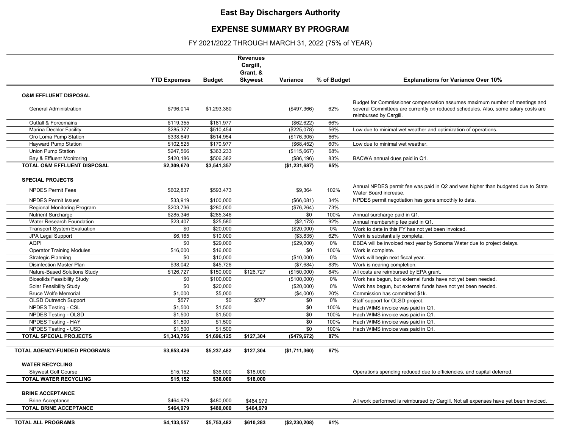# **East Bay Dischargers Authority**

# **EXPENSE SUMMARY BY PROGRAM**

FY 2021/2022 THROUGH MARCH 31, 2022 (75% of YEAR)

|                                        |                     |               | <b>Revenues</b><br>Cargill, |               |             |                                                                                                              |
|----------------------------------------|---------------------|---------------|-----------------------------|---------------|-------------|--------------------------------------------------------------------------------------------------------------|
|                                        |                     |               | Grant, &                    |               |             |                                                                                                              |
|                                        | <b>YTD Expenses</b> | <b>Budget</b> | <b>Skywest</b>              | Variance      | % of Budget | <b>Explanations for Variance Over 10%</b>                                                                    |
| <b>O&amp;M EFFLUENT DISPOSAL</b>       |                     |               |                             |               |             |                                                                                                              |
|                                        |                     |               |                             |               |             | Budget for Commissioner compensation assumes maximum number of meetings and                                  |
| <b>General Administration</b>          | \$796,014           | \$1,293,380   |                             | (\$497,366)   | 62%         | several Committees are currently on reduced schedules. Also, some salary costs are<br>reimbursed by Cargill. |
| <b>Outfall &amp; Forcemains</b>        | \$119,355           | \$181,977     |                             | (\$62,622)    | 66%         |                                                                                                              |
| <b>Marina Dechlor Facility</b>         | \$285,377           | \$510,454     |                             | (\$225,078)   | 56%         | Low due to minimal wet weather and optimization of operations.                                               |
| Oro Loma Pump Station                  | \$338,649           | \$514,954     |                             | (\$176,305)   | 66%         |                                                                                                              |
| <b>Hayward Pump Station</b>            | \$102,525           | \$170,977     |                             | (\$68,452)    | 60%         | Low due to minimal wet weather.                                                                              |
| Union Pump Station                     | \$247,566           | \$363,233     |                             | (\$115,667)   | 68%         |                                                                                                              |
| Bay & Effluent Monitoring              | \$420,186           | \$506,382     |                             | (\$86,196)    | 83%         | BACWA annual dues paid in Q1.                                                                                |
| <b>TOTAL O&amp;M EFFLUENT DISPOSAL</b> | \$2,309,670         | \$3,541,357   |                             | (\$1,231,687) | 65%         |                                                                                                              |
|                                        |                     |               |                             |               |             |                                                                                                              |
| <b>SPECIAL PROJECTS</b>                |                     |               |                             |               |             |                                                                                                              |
| <b>NPDES Permit Fees</b>               | \$602,837           | \$593,473     |                             | \$9,364       | 102%        | Annual NPDES permit fee was paid in Q2 and was higher than budgeted due to State<br>Water Board increase.    |
| <b>NPDES Permit Issues</b>             | \$33,919            | \$100,000     |                             | (\$66,081)    | 34%         | NPDES permit negotiation has gone smoothly to date.                                                          |
| Regional Monitoring Program            | \$203,736           | \$280,000     |                             | (\$76,264)    | 73%         |                                                                                                              |
| <b>Nutrient Surcharge</b>              | \$285,346           | \$285,346     |                             | \$0           | 100%        | Annual surcharge paid in Q1.                                                                                 |
| Water Research Foundation              | \$23,407            | \$25,580      |                             | (\$2,173)     | 92%         | Annual membership fee paid in Q1.                                                                            |
| <b>Transport System Evaluation</b>     | \$0                 | \$20,000      |                             | (\$20,000)    | 0%          | Work to date in this FY has not yet been invoiced.                                                           |
| JPA Legal Support                      | \$6,165             | \$10,000      |                             | (\$3,835)     | 62%         | Work is substantially complete.                                                                              |
| <b>AQPI</b>                            | \$0                 | \$29,000      |                             | (\$29,000)    | 0%          | EBDA will be invoiced next year by Sonoma Water due to project delays.                                       |
| <b>Operator Training Modules</b>       | \$16,000            | \$16,000      |                             | \$0           | 100%        | Work is complete.                                                                                            |
| <b>Strategic Planning</b>              | \$0                 | \$10,000      |                             | (\$10,000)    | 0%          | Work will begin next fiscal year.                                                                            |
| <b>Disinfection Master Plan</b>        | \$38,042            | \$45,726      |                             | (\$7,684)     | 83%         | Work is nearing completion.                                                                                  |
| Nature-Based Solutions Study           | \$126,727           | \$150,000     | \$126,727                   | (\$150,000)   | 84%         | All costs are reimbursed by EPA grant.                                                                       |
| <b>Biosolids Feasibility Study</b>     | \$0                 | \$100,000     |                             | (\$100,000)   | 0%          | Work has begun, but external funds have not yet been needed.                                                 |
| Solar Feasibility Study                | \$0                 | \$20,000      |                             | (\$20,000)    | 0%          | Work has begun, but external funds have not yet been needed.                                                 |
| <b>Bruce Wolfe Memorial</b>            | \$1,000             | \$5,000       |                             | (\$4,000)     | 20%         | Commission has committed \$1k.                                                                               |
| OLSD Outreach Support                  | \$577               | \$0           | \$577                       | \$0           | 0%          | Staff support for OLSD project.                                                                              |
| <b>NPDES Testing - CSL</b>             | \$1,500             | \$1,500       |                             | \$0           | 100%        | Hach WIMS invoice was paid in Q1.                                                                            |
| <b>NPDES Testing - OLSD</b>            | \$1,500             | \$1,500       |                             | \$0           | 100%        | Hach WIMS invoice was paid in Q1.                                                                            |
| <b>NPDES Testing - HAY</b>             | \$1,500             | \$1,500       |                             | \$0           | 100%        | Hach WIMS invoice was paid in Q1.                                                                            |
| <b>NPDES Testing - USD</b>             | \$1,500             | \$1,500       |                             | \$0           | 100%        | Hach WIMS invoice was paid in Q1.                                                                            |
| <b>TOTAL SPECIAL PROJECTS</b>          | \$1,343,756         | \$1,696,125   | \$127,304                   | (\$479,672)   | 87%         |                                                                                                              |
| TOTAL AGENCY-FUNDED PROGRAMS           | \$3,653,426         | \$5,237,482   | \$127,304                   |               | 67%         |                                                                                                              |
|                                        |                     |               |                             | (\$1,711,360) |             |                                                                                                              |
| <b>WATER RECYCLING</b>                 |                     |               |                             |               |             |                                                                                                              |
| <b>Skywest Golf Course</b>             | \$15,152            | \$36,000      | \$18,000                    |               |             | Operations spending reduced due to efficiencies, and capital deferred.                                       |
| <b>TOTAL WATER RECYCLING</b>           | \$15,152            | \$36,000      | \$18,000                    |               |             |                                                                                                              |
|                                        |                     |               |                             |               |             |                                                                                                              |
| <b>BRINE ACCEPTANCE</b>                |                     |               |                             |               |             |                                                                                                              |
| <b>Brine Acceptance</b>                | \$464,979           | \$480,000     | \$464,979                   |               |             | All work performed is reimbursed by Cargill. Not all expenses have yet been invoiced.                        |
| <b>TOTAL BRINE ACCEPTANCE</b>          | \$464,979           | \$480,000     | \$464,979                   |               |             |                                                                                                              |
|                                        |                     |               |                             |               |             |                                                                                                              |
| TOTAL ALL PROGRAMS                     | \$4,133,557         | \$5,753,482   | \$610,283                   | (\$2,230,208) | 61%         |                                                                                                              |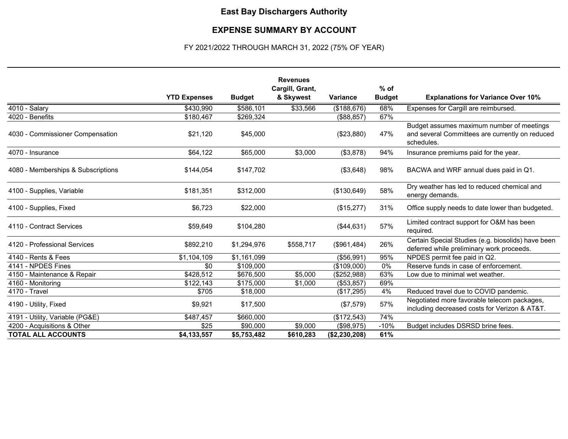# **East Bay Dischargers Authority**

#### **EXPENSE SUMMARY BY ACCOUNT**

## FY 2021/2022 THROUGH MARCH 31, 2022 (75% OF YEAR)

|                                    |                     |               | <b>Revenues</b>              |                 | $%$ of        |                                                                                                            |
|------------------------------------|---------------------|---------------|------------------------------|-----------------|---------------|------------------------------------------------------------------------------------------------------------|
|                                    | <b>YTD Expenses</b> | <b>Budget</b> | Cargill, Grant,<br>& Skywest | <b>Variance</b> | <b>Budget</b> | <b>Explanations for Variance Over 10%</b>                                                                  |
| 4010 - Salary                      | \$430,990           | \$586,101     | \$33,566                     | (\$188,676)     | 68%           | Expenses for Cargill are reimbursed.                                                                       |
| 4020 - Benefits                    | \$180,467           | \$269,324     |                              | (\$88, 857)     | 67%           |                                                                                                            |
| 4030 - Commissioner Compensation   | \$21,120            | \$45,000      |                              | (\$23,880)      | 47%           | Budget assumes maximum number of meetings<br>and several Committees are currently on reduced<br>schedules. |
| 4070 - Insurance                   | \$64,122            | \$65,000      | \$3,000                      | (\$3,878)       | 94%           | Insurance premiums paid for the year.                                                                      |
| 4080 - Memberships & Subscriptions | \$144,054           | \$147,702     |                              | (\$3,648)       | 98%           | BACWA and WRF annual dues paid in Q1.                                                                      |
| 4100 - Supplies, Variable          | \$181,351           | \$312,000     |                              | (\$130,649)     | 58%           | Dry weather has led to reduced chemical and<br>energy demands.                                             |
| 4100 - Supplies, Fixed             | \$6,723             | \$22,000      |                              | (\$15,277)      | 31%           | Office supply needs to date lower than budgeted.                                                           |
| 4110 - Contract Services           | \$59,649            | \$104,280     |                              | (\$44,631)      | 57%           | Limited contract support for O&M has been<br>required.                                                     |
| 4120 - Professional Services       | \$892,210           | \$1,294,976   | \$558,717                    | (\$961,484)     | 26%           | Certain Special Studies (e.g. biosolids) have been<br>deferred while preliminary work proceeds.            |
| 4140 - Rents & Fees                | \$1,104,109         | \$1,161,099   |                              | (\$56,991)      | 95%           | NPDES permit fee paid in Q2.                                                                               |
| 4141 - NPDES Fines                 | \$0                 | \$109,000     |                              | (\$109,000)     | 0%            | Reserve funds in case of enforcement.                                                                      |
| 4150 - Maintenance & Repair        | \$428,512           | \$676,500     | \$5,000                      | (\$252,988)     | 63%           | Low due to minimal wet weather.                                                                            |
| 4160 - Monitoring                  | \$122,143           | \$175,000     | \$1,000                      | (\$53,857)      | 69%           |                                                                                                            |
| 4170 - Travel                      | \$705               | \$18,000      |                              | (\$17,295)      | 4%            | Reduced travel due to COVID pandemic.                                                                      |
| 4190 - Utility, Fixed              | \$9,921             | \$17,500      |                              | (\$7,579)       | 57%           | Negotiated more favorable telecom packages,<br>including decreased costs for Verizon & AT&T.               |
| 4191 - Utility, Variable (PG&E)    | \$487,457           | \$660,000     |                              | (\$172,543)     | 74%           |                                                                                                            |
| 4200 - Acquisitions & Other        | \$25                | \$90,000      | \$9,000                      | (\$98,975)      | $-10%$        | Budget includes DSRSD brine fees.                                                                          |
| <b>TOTAL ALL ACCOUNTS</b>          | \$4,133,557         | \$5,753,482   | \$610,283                    | (\$2,230,208)   | 61%           |                                                                                                            |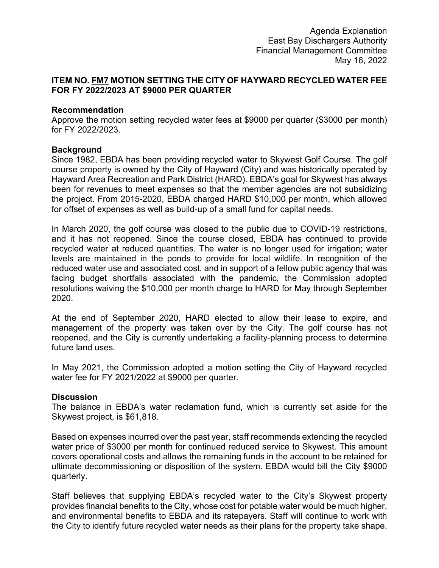# <span id="page-11-0"></span>**ITEM NO. FM7 MOTION SETTING THE CITY OF HAYWARD RECYCLED WATER FEE FOR FY 2022/2023 AT \$9000 PER QUARTER**

### **Recommendation**

Approve the motion setting recycled water fees at \$9000 per quarter (\$3000 per month) for FY 2022/2023.

# **Background**

Since 1982, EBDA has been providing recycled water to Skywest Golf Course. The golf course property is owned by the City of Hayward (City) and was historically operated by Hayward Area Recreation and Park District (HARD). EBDA's goal for Skywest has always been for revenues to meet expenses so that the member agencies are not subsidizing the project. From 2015-2020, EBDA charged HARD \$10,000 per month, which allowed for offset of expenses as well as build-up of a small fund for capital needs.

In March 2020, the golf course was closed to the public due to COVID-19 restrictions, and it has not reopened. Since the course closed, EBDA has continued to provide recycled water at reduced quantities. The water is no longer used for irrigation; water levels are maintained in the ponds to provide for local wildlife. In recognition of the reduced water use and associated cost, and in support of a fellow public agency that was facing budget shortfalls associated with the pandemic, the Commission adopted resolutions waiving the \$10,000 per month charge to HARD for May through September 2020.

At the end of September 2020, HARD elected to allow their lease to expire, and management of the property was taken over by the City. The golf course has not reopened, and the City is currently undertaking a facility-planning process to determine future land uses.

In May 2021, the Commission adopted a motion setting the City of Hayward recycled water fee for FY 2021/2022 at \$9000 per quarter.

### **Discussion**

The balance in EBDA's water reclamation fund, which is currently set aside for the Skywest project, is \$61,818.

Based on expenses incurred over the past year, staff recommends extending the recycled water price of \$3000 per month for continued reduced service to Skywest. This amount covers operational costs and allows the remaining funds in the account to be retained for ultimate decommissioning or disposition of the system. EBDA would bill the City \$9000 quarterly.

Staff believes that supplying EBDA's recycled water to the City's Skywest property provides financial benefits to the City, whose cost for potable water would be much higher, and environmental benefits to EBDA and its ratepayers. Staff will continue to work with the City to identify future recycled water needs as their plans for the property take shape.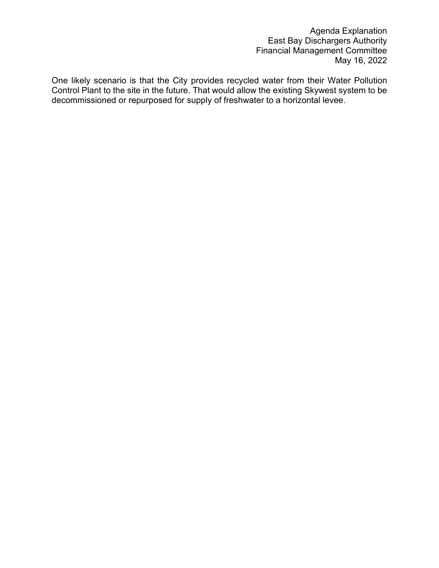One likely scenario is that the City provides recycled water from their Water Pollution Control Plant to the site in the future. That would allow the existing Skywest system to be decommissioned or repurposed for supply of freshwater to a horizontal levee.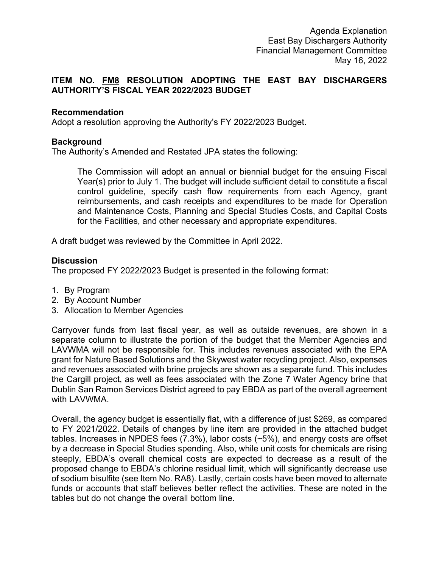# <span id="page-13-0"></span>**ITEM NO. FM8 RESOLUTION ADOPTING THE EAST BAY DISCHARGERS AUTHORITY'S FISCAL YEAR 2022/2023 BUDGET**

# **Recommendation**

Adopt a resolution approving the Authority's FY 2022/2023 Budget.

# **Background**

The Authority's Amended and Restated JPA states the following:

The Commission will adopt an annual or biennial budget for the ensuing Fiscal Year(s) prior to July 1. The budget will include sufficient detail to constitute a fiscal control guideline, specify cash flow requirements from each Agency, grant reimbursements, and cash receipts and expenditures to be made for Operation and Maintenance Costs, Planning and Special Studies Costs, and Capital Costs for the Facilities, and other necessary and appropriate expenditures.

A draft budget was reviewed by the Committee in April 2022.

# **Discussion**

The proposed FY 2022/2023 Budget is presented in the following format:

- 1. By Program
- 2. By Account Number
- 3. Allocation to Member Agencies

Carryover funds from last fiscal year, as well as outside revenues, are shown in a separate column to illustrate the portion of the budget that the Member Agencies and LAVWMA will not be responsible for. This includes revenues associated with the EPA grant for Nature Based Solutions and the Skywest water recycling project. Also, expenses and revenues associated with brine projects are shown as a separate fund. This includes the Cargill project, as well as fees associated with the Zone 7 Water Agency brine that Dublin San Ramon Services District agreed to pay EBDA as part of the overall agreement with LAVWMA.

Overall, the agency budget is essentially flat, with a difference of just \$269, as compared to FY 2021/2022. Details of changes by line item are provided in the attached budget tables. Increases in NPDES fees (7.3%), labor costs (~5%), and energy costs are offset by a decrease in Special Studies spending. Also, while unit costs for chemicals are rising steeply, EBDA's overall chemical costs are expected to decrease as a result of the proposed change to EBDA's chlorine residual limit, which will significantly decrease use of sodium bisulfite (see Item No. RA8). Lastly, certain costs have been moved to alternate funds or accounts that staff believes better reflect the activities. These are noted in the tables but do not change the overall bottom line.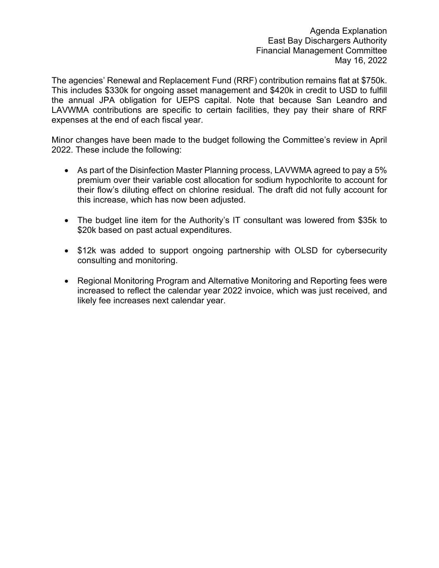The agencies' Renewal and Replacement Fund (RRF) contribution remains flat at \$750k. This includes \$330k for ongoing asset management and \$420k in credit to USD to fulfill the annual JPA obligation for UEPS capital. Note that because San Leandro and LAVWMA contributions are specific to certain facilities, they pay their share of RRF expenses at the end of each fiscal year.

Minor changes have been made to the budget following the Committee's review in April 2022. These include the following:

- As part of the Disinfection Master Planning process, LAVWMA agreed to pay a 5% premium over their variable cost allocation for sodium hypochlorite to account for their flow's diluting effect on chlorine residual. The draft did not fully account for this increase, which has now been adjusted.
- The budget line item for the Authority's IT consultant was lowered from \$35k to \$20k based on past actual expenditures.
- \$12k was added to support ongoing partnership with OLSD for cybersecurity consulting and monitoring.
- Regional Monitoring Program and Alternative Monitoring and Reporting fees were increased to reflect the calendar year 2022 invoice, which was just received, and likely fee increases next calendar year.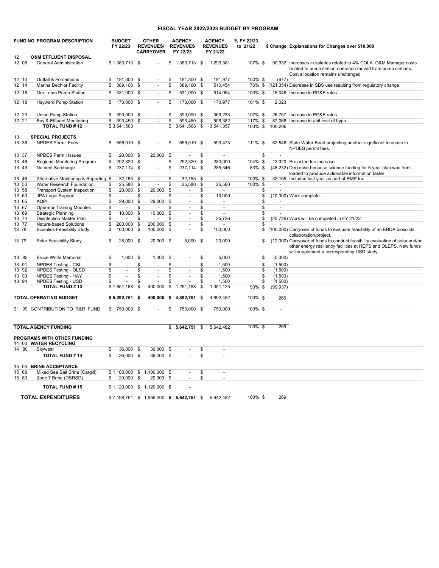#### **FISCAL YEAR 2022/2023 BUDGET BY PROGRAM**

|       | FUND NO PROGRAM DESCRIPTION           |                          | <b>BUDGET</b><br>FY 22/23   |                         | <b>OTHER</b><br><b>REVENUES/</b><br><b>CARRYOVER</b> |      | <b>AGENCY</b><br><b>REVENUES</b><br>FY 22/23 |                         | <b>AGENCY</b><br><b>REVENUES</b><br>FY 21/22 | % FY 22/23<br>to 21/22 |                | \$ Change Explanations for Changes over \$10,000                                                                                                                                               |
|-------|---------------------------------------|--------------------------|-----------------------------|-------------------------|------------------------------------------------------|------|----------------------------------------------|-------------------------|----------------------------------------------|------------------------|----------------|------------------------------------------------------------------------------------------------------------------------------------------------------------------------------------------------|
| 12    | <b>O&amp;M EFFLUENT DISPOSAL</b>      |                          |                             |                         |                                                      |      |                                              |                         |                                              |                        |                |                                                                                                                                                                                                |
| 12 06 | General Administration                |                          | $$1,383,713$ \$             |                         |                                                      | \$   | 1,383,713 \$                                 |                         | 1.293.381                                    | 107% \$                |                | 90,332 Increases in salaries related to 4% COLA. O&M Manager costs<br>related to pump station operation moved from pump stations.<br>Cost allocation remains unchanged                         |
| 12 10 | Outfall & Forcemains                  | \$                       | 181,300 \$                  |                         | $\sim$                                               | \$   | 181,300 \$                                   |                         | 181,977                                      | 100% \$                | (677)          |                                                                                                                                                                                                |
| 12 14 | Marina Dechlor Facility               | \$                       | 389,100 \$                  |                         | $\blacksquare$                                       | \$   | 389,100 \$                                   |                         | 510,454                                      | 76% \$                 |                | (121,354) Decrease in SBS use resulting from regulatory change.                                                                                                                                |
| 12 16 | Oro Loma Pump Station                 | \$                       | 531.000 \$                  |                         | $\blacksquare$                                       | \$   | 531,000 \$                                   |                         | 514,954                                      | 103% \$                |                | 16,046 Increase in PG&E rates.                                                                                                                                                                 |
| 12 18 | <b>Hayward Pump Station</b>           | \$                       | 173,000 \$                  |                         | $\blacksquare$                                       | \$   | 173,000 \$                                   |                         | 170,977                                      | 101% \$                | 2,023          |                                                                                                                                                                                                |
| 12 20 | <b>Union Pump Station</b>             | \$                       | 390,000 \$                  |                         | $\blacksquare$                                       | £    | 390,000 \$                                   |                         | 363,233                                      | 107% \$                |                | 26.767 Increase in PG&E rates.                                                                                                                                                                 |
| 12 21 | Bay & Effluent Monitoring             | \$                       | 593,450 \$                  |                         | $\sim$                                               | \$   | 593,450 \$                                   |                         | 506.382                                      | 117% \$                |                | 87,068 Increase in unit cost of hypo.                                                                                                                                                          |
|       | <b>TOTAL FUND #12</b>                 |                          | \$3,641,563                 |                         |                                                      | \$   | 3,641,563 \$                                 |                         | 3,541,357                                    | 103% \$                | 100,206        |                                                                                                                                                                                                |
| 13    | <b>SPECIAL PROJECTS</b>               |                          |                             |                         |                                                      |      |                                              |                         |                                              |                        |                |                                                                                                                                                                                                |
| 13 36 | <b>NPDES Permit Fees</b>              | \$                       | 656,019 \$                  |                         |                                                      | \$   | 656,019 \$                                   |                         | 593,473                                      | 111% \$                |                | 62,546 State Water Boad projecting another significant increase in<br>NPDES permit fees.                                                                                                       |
| 13 37 | <b>NPDES Permit Issues</b>            | \$                       | 20,000 \$                   |                         | 20,000                                               | \$   | $\sim$                                       | \$                      | $\mathbf{r}$                                 |                        | \$             |                                                                                                                                                                                                |
| 13 48 | Regional Monitoring Program           | \$                       | 292,320 \$                  |                         | $\overline{\phantom{a}}$                             | \$   | 292,320 \$                                   |                         | 280.000                                      | 104% \$                |                | 12,320 Projected fee increase.                                                                                                                                                                 |
| 13 49 | Nutrient Surcharge                    | \$                       | 237,114 \$                  |                         | $\blacksquare$                                       | \$   | 237,114 \$                                   |                         | 285,346                                      | 83% \$                 |                | (48,232) Decrease because science funding for 5-year plan was front-<br>loaded to produce actionable information faster                                                                        |
| 13 46 | Alternative Monitoring & Reporting \$ |                          | 32,155 \$                   |                         | $\overline{\phantom{a}}$                             | \$   | 32,155 \$                                    |                         | $\sim$                                       | 100% \$                |                | 32,155 Included last year as part of RMP fee.                                                                                                                                                  |
| 13 53 | Water Research Foundation             | \$                       | 25,580 \$                   |                         | $\blacksquare$                                       | \$   | 25,580 \$                                    |                         | 25,580                                       | 100% \$                |                |                                                                                                                                                                                                |
| 13 58 | <b>Transport System Inspection</b>    | \$                       | 20,000 \$                   |                         | 20,000 \$                                            |      | $\omega$                                     | \$                      | ÷                                            |                        | \$             |                                                                                                                                                                                                |
| 13 63 | JPA Legal Support                     | \$                       | $\sim$                      | \$                      | $\blacksquare$                                       | \$   | $\sim$                                       | \$                      | 10,000                                       |                        | \$             | (10,000) Work complete.                                                                                                                                                                        |
| 13 65 | <b>AQPI</b>                           | £                        | 29,000                      | \$                      | 29,000                                               | - \$ | $\blacksquare$                               | \$                      | $\blacksquare$                               |                        | \$             |                                                                                                                                                                                                |
| 13 67 | <b>Operator Training Modules</b>      | \$                       | $\omega$                    | \$                      | $\blacksquare$                                       | \$   | $\blacksquare$                               | \$                      | $\sim$                                       |                        | \$<br>$\omega$ |                                                                                                                                                                                                |
| 13 69 | <b>Strategic Planning</b>             | \$                       | 10,000                      | <b>S</b>                | $10,000$ \$                                          |      | $\blacksquare$                               | \$                      | ÷                                            |                        | \$             |                                                                                                                                                                                                |
| 13 74 | <b>Disinfection Master Plan</b>       | \$                       |                             | \$                      |                                                      | \$   | $\blacksquare$                               | \$                      | 25,726                                       |                        | \$             | (25,726) Work will be completed in FY 21/22.                                                                                                                                                   |
| 13 77 | Nature-based Solutions                | \$                       | 200,000                     | \$                      | 200,000 \$                                           |      | $\blacksquare$                               | \$                      |                                              |                        | \$             |                                                                                                                                                                                                |
| 13 78 | <b>Biosolids Feasibility Study</b>    | \$                       | 100,000 \$                  |                         | 100,000 \$                                           |      | $\sim$                                       | \$                      | 100,000                                      |                        | \$             | (100,000) Carryover of funds to evaluate feasibility of an EBDA biosolids<br>collaboration/project.                                                                                            |
| 13 79 | Solar Feasibility Study               | \$                       | 28,000 \$                   |                         | 20,000 \$                                            |      | 8,000 \$                                     |                         | 20,000                                       |                        | \$             | (12,000) Carryover of funds to conduct feasibility evaluation of solar and/or<br>other energy resiliency facilities at HEPS and OLEPS. New funds<br>will supplement a corresponding USD study. |
| 13 82 | <b>Bruce Wolfe Memorial</b>           | \$                       | 1,000                       | \$                      | $1,000$ \$                                           |      | $\blacksquare$                               | \$                      | 5,000                                        |                        | \$<br>(5,000)  |                                                                                                                                                                                                |
| 13 91 | <b>NPDES Testing - CSL</b>            | $\overline{\mathcal{S}}$ | ÷.                          | $\overline{\mathbb{S}}$ | $\overline{\phantom{a}}$                             | \$   | $\sim$                                       | $\overline{\mathbb{S}}$ | 1,500                                        |                        | \$<br>(1,500)  |                                                                                                                                                                                                |
| 13 92 | NPDES Testing - OLSD                  | \$                       | $\sim$                      | \$                      | $\mathbf{r}$                                         | \$   | $\sim$                                       | \$                      | 1,500                                        |                        | \$<br>(1,500)  |                                                                                                                                                                                                |
| 13 93 | NPDES Testing - HAY                   | \$                       | $\mathcal{L}_{\mathcal{A}}$ | \$                      | $\blacksquare$                                       | \$   | $\blacksquare$                               | \$                      | 1,500                                        |                        | \$<br>(1,500)  |                                                                                                                                                                                                |
| 13 94 | NPDES Testing - USD                   | \$                       |                             | \$                      | ä,                                                   | \$   | ÷.                                           | \$                      | 1,500                                        |                        | \$<br>(1,500)  |                                                                                                                                                                                                |
|       | <b>TOTAL FUND #13</b>                 |                          | \$1,651,188                 | \$                      | 400,000                                              | \$   | 1,251,188                                    | \$                      | 1,351,125                                    | 93% \$                 | (99, 937)      |                                                                                                                                                                                                |
|       | <b>TOTAL OPERATING BUDGET</b>         |                          | $$5,292,751$ \$             |                         | 400,000                                              | \$   | 4,892,751 \$                                 |                         | 4,892,482                                    | 100% \$                | 269            |                                                                                                                                                                                                |
| 31 99 | CONTRIBUTION TO R&R FUND              | \$                       | 750,000 \$                  |                         | $\blacksquare$                                       | \$   | 750,000 \$                                   |                         | 750,000                                      | 100% \$                |                |                                                                                                                                                                                                |
|       |                                       |                          |                             |                         |                                                      |      |                                              |                         |                                              |                        |                |                                                                                                                                                                                                |

# **TOTAL AGENCY FUNDING**  $\begin{array}{ccccccccc}\n\bullet & \bullet & \bullet & \bullet & \bullet & 5,642,751 & \text{${\mathbb{S}}$ & 5,642,482 & & 100\% & \text{${\mathbb{S}}$ & 269}\n\end{array}$ **PROGRAMS WITH OTHER FUNDING** 14 00 **WATER RECYCLING** 14 80 Skywest 36,000 \$ 36,000 \$ - \$ - \$ **ER RECYCLING**<br> **S** 36,000 \$ 36,000 \$ - \$<br> **TOTAL FUND # 14** \$ 36,000 \$ 36,000 \$ - \$ 15 00 **BRINE ACCEPTANCE** 15 68 Mixed Sea Salt Brine (Cargill) \$1,100,000 \$1,100,000 \$ - \$ -<br>15 83 Zone 7 Brine (DSRSD) \$ 20,000 \$ 20,000 \$ - \$ -15 68 Mixed Sea Salt Brine (Cargill) \$ 1,100,000 \$ 1,100,000 \$ - \$<br>15 83 Zone 7 Brine (DSRSD) \$ 20,000 \$ 20,000 \$ - \$  **TOTAL FUND # 15**  $$1,120,000 \$ 1,120,000 \$$ **TOTAL EXPENDITURES** \$ 7,198,751 \$ 1,556,000 \$ 5,642,751 \$ 5,642,482 100% \$ 269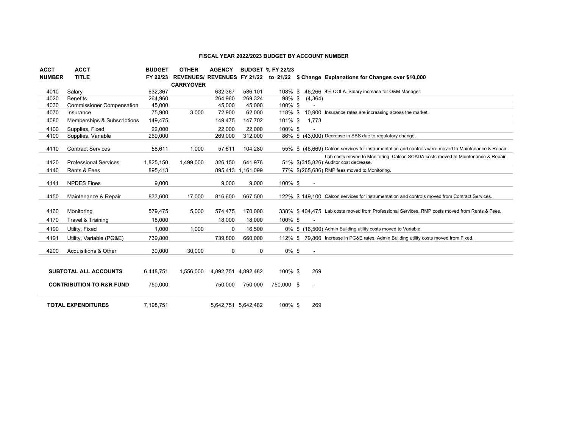#### **FISCAL YEAR 2022/2023 BUDGET BY ACCOUNT NUMBER**

| <b>ACCT</b>   | ACCT                                | <b>BUDGET</b> | <b>OTHER</b>     | <b>AGENCY</b>       |                   | <b>BUDGET % FY 22/23</b> |                          |                                                                                                                            |  |
|---------------|-------------------------------------|---------------|------------------|---------------------|-------------------|--------------------------|--------------------------|----------------------------------------------------------------------------------------------------------------------------|--|
| <b>NUMBER</b> | <b>TITLE</b>                        | FY 22/23      |                  |                     |                   |                          |                          | REVENUES/ REVENUES FY 21/22 to 21/22 \$ Change Explanations for Changes over \$10,000                                      |  |
|               |                                     |               | <b>CARRYOVER</b> |                     |                   |                          |                          |                                                                                                                            |  |
| 4010          | Salary                              | 632,367       |                  | 632,367             | 586,101           |                          |                          | 108% \$46.266 4% COLA. Salary increase for O&M Manager.                                                                    |  |
| 4020          | <b>Benefits</b>                     | 264,960       |                  | 264,960             | 269,324           | 98% \$                   | (4,364)                  |                                                                                                                            |  |
| 4030          | <b>Commissioner Compensation</b>    | 45,000        |                  | 45,000              | 45,000            | 100% \$                  |                          |                                                                                                                            |  |
| 4070          | Insurance                           | 75,900        | 3,000            | 72,900              | 62,000            | 118% \$                  |                          | 10.900 Insurance rates are increasing across the market.                                                                   |  |
| 4080          | Memberships & Subscriptions         | 149,475       |                  | 149,475             | 147,702           | 101% \$                  | 1,773                    |                                                                                                                            |  |
| 4100          | Supplies, Fixed                     | 22,000        |                  | 22,000              | 22,000            | 100% \$                  |                          |                                                                                                                            |  |
| 4100          | Supplies, Variable                  | 269,000       |                  | 269,000             | 312,000           |                          |                          | 86% \$ (43,000) Decrease in SBS due to regulatory change.                                                                  |  |
|               |                                     |               |                  |                     |                   |                          |                          |                                                                                                                            |  |
| 4110          | <b>Contract Services</b>            | 58,611        | 1,000            | 57,611              | 104,280           |                          |                          | 55% \$ (46.669) Calcon services for instrumentation and controls were moved to Maintenance & Repair.                       |  |
| 4120          | <b>Professional Services</b>        | 1,825,150     | 1,499,000        | 326,150             | 641.976           |                          |                          | Lab costs moved to Monitoring. Calcon SCADA costs moved to Maintenance & Repair.<br>51% \$(315,826) Auditor cost decrease. |  |
| 4140          | Rents & Fees                        |               |                  |                     |                   |                          |                          | 77% \$(265.686) RMP fees moved to Monitoring.                                                                              |  |
|               |                                     | 895,413       |                  |                     | 895,413 1,161,099 |                          |                          |                                                                                                                            |  |
| 4141          | <b>NPDES Fines</b>                  | 9,000         |                  | 9,000               | 9,000             | 100% \$                  | $\overline{\phantom{a}}$ |                                                                                                                            |  |
|               |                                     |               |                  |                     |                   |                          |                          |                                                                                                                            |  |
| 4150          | Maintenance & Repair                | 833,600       | 17,000           | 816,600             | 667,500           |                          |                          | 122% \$149,100 Calcon services for instrumentation and controls moved from Contract Services.                              |  |
|               |                                     |               |                  |                     |                   |                          |                          |                                                                                                                            |  |
| 4160          | Monitoring                          | 579,475       | 5,000            | 574,475             | 170,000           |                          |                          | 338% \$404.475 Lab costs moved from Professional Services. RMP costs moved from Rents & Fees.                              |  |
| 4170          | Travel & Training                   | 18,000        |                  | 18,000              | 18,000            | 100% \$                  |                          |                                                                                                                            |  |
| 4190          | Utility, Fixed                      | 1,000         | 1,000            | 0                   | 16.500            |                          |                          | 0% \$ (16.500) Admin Building utility costs moved to Variable.                                                             |  |
|               |                                     |               |                  |                     |                   |                          |                          | 112% \$79.800 Increase in PG&E rates. Admin Building utility costs moved from Fixed.                                       |  |
| 4191          | Utility, Variable (PG&E)            | 739,800       |                  | 739,800             | 660,000           |                          |                          |                                                                                                                            |  |
| 4200          | Acquisitions & Other                | 30,000        | 30,000           | 0                   | 0                 | $0\%$ \$                 | $\blacksquare$           |                                                                                                                            |  |
|               |                                     |               |                  |                     |                   |                          |                          |                                                                                                                            |  |
|               |                                     |               |                  |                     |                   |                          |                          |                                                                                                                            |  |
|               | <b>SUBTOTAL ALL ACCOUNTS</b>        | 6.448.751     | 1.556.000        | 4,892,751 4,892,482 |                   | 100% \$                  | 269                      |                                                                                                                            |  |
|               |                                     |               |                  |                     |                   |                          |                          |                                                                                                                            |  |
|               | <b>CONTRIBUTION TO R&amp;R FUND</b> | 750,000       |                  | 750,000             | 750,000           | 750,000 \$               | $\blacksquare$           |                                                                                                                            |  |
|               |                                     |               |                  |                     |                   |                          |                          |                                                                                                                            |  |
|               | <b>TOTAL EXPENDITURES</b>           | 7.198.751     |                  | 5.642.751 5.642.482 |                   | 100% \$                  | 269                      |                                                                                                                            |  |
|               |                                     |               |                  |                     |                   |                          |                          |                                                                                                                            |  |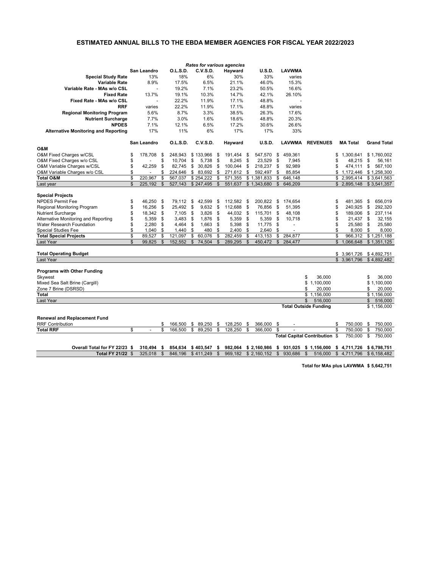|                                             |                |             |                      |                 |                            |                 |            | <b>Rates for various agencies</b> |                            |                    |                |                              |                               |                |                 |     |                    |
|---------------------------------------------|----------------|-------------|----------------------|-----------------|----------------------------|-----------------|------------|-----------------------------------|----------------------------|--------------------|----------------|------------------------------|-------------------------------|----------------|-----------------|-----|--------------------|
|                                             |                | San Leandro |                      | <b>O.L.S.D.</b> |                            | <b>C.V.S.D.</b> |            | <b>Hayward</b>                    |                            | <b>U.S.D.</b>      |                | <b>LAVWMA</b>                |                               |                |                 |     |                    |
| <b>Special Study Rate</b>                   |                | 13%         |                      | 18%             |                            | 6%              |            | 30%                               |                            | 33%                |                | varies                       |                               |                |                 |     |                    |
| <b>Variable Rate</b>                        |                | 8.9%        |                      | 17.5%           |                            | 6.5%            |            | 21.1%                             |                            | 46.0%              |                | 15.3%                        |                               |                |                 |     |                    |
| Variable Rate - MAs w/o CSL                 |                |             |                      | 19.2%           |                            | 7.1%            |            | 23.2%                             |                            | 50.5%              |                | 16.6%                        |                               |                |                 |     |                    |
| <b>Fixed Rate</b>                           |                | 13.7%       |                      | 19.1%           |                            | 10.3%           |            | 14.7%                             |                            | 42.1%              |                | 26.10%                       |                               |                |                 |     |                    |
| Fixed Rate - MAs w/o CSL                    |                |             |                      | 22.2%           |                            | 11.9%           |            | 17.1%                             |                            | 48.8%              |                |                              |                               |                |                 |     |                    |
| <b>RRF</b>                                  |                | varies      |                      | 22.2%           |                            | 11.9%           |            | 17.1%                             |                            | 48.8%              |                | varies                       |                               |                |                 |     |                    |
| <b>Regional Monitoring Program</b>          |                | 5.6%        |                      | 8.7%            |                            | 3.3%            |            | 38.5%                             |                            | 26.3%              |                | 17.6%                        |                               |                |                 |     |                    |
| <b>Nutrient Surcharge</b>                   |                | 7.7%        |                      | 3.0%            |                            | 1.6%            |            | 18.6%                             |                            | 48.8%              |                | 20.3%                        |                               |                |                 |     |                    |
| <b>NPDES</b>                                |                | 7.1%        |                      | 12.1%           |                            | 6.5%            |            | 17.2%                             |                            | 30.6%              |                | 26.6%                        |                               |                |                 |     |                    |
| <b>Alternative Monitoring and Reporting</b> |                | 17%         |                      | 11%             |                            | 6%              |            | 17%                               |                            | 17%                |                | 33%                          |                               |                |                 |     |                    |
|                                             |                |             |                      |                 |                            |                 |            |                                   |                            |                    |                |                              |                               |                |                 |     |                    |
|                                             |                | San Leandro |                      | <b>O.L.S.D.</b> |                            | <b>C.V.S.D.</b> |            | <b>Hayward</b>                    |                            | <b>U.S.D.</b>      |                | <b>LAVWMA</b>                | <b>REVENUES</b>               |                | <b>MA Total</b> |     | <b>Grand Total</b> |
| <b>O&amp;M</b>                              |                |             |                      |                 |                            |                 |            |                                   |                            |                    |                |                              |                               |                |                 |     |                    |
| O&M Fixed Charges w/CSL                     |                | 178,708     | \$                   | 248,943         |                            | $$133,966$ \$   |            | 191,454 \$                        |                            | 547,570            | \$             | 459,361                      |                               | \$             | 1,300,641       |     | \$1,760,002        |
| O&M Fixed Charges w/o CSL                   |                |             | \$                   | 10,704          | $\boldsymbol{\mathcal{L}}$ | 5,738           | - \$       | 8,245                             | \$                         | 23,529             | \$             | 7,945                        |                               | \$             | 48,215          | \$  | 56,161             |
| O&M Variable Charges w/CSL                  |                | 42,259      | \$                   | 82,745          | \$                         | 30,826          | -\$        | 100,044                           | \$                         | 218,237            | \$             | 92,989                       |                               |                | 474,111         | \$  | 567,100            |
| O&M Variable Charges w/o CSL                |                |             |                      | 224,646         | $\mathfrak{F}$             | 83,692          | - \$       | 271,612                           | \$                         | 592,497            |                | 85,854                       |                               |                | 1,172,446       |     | \$1,258,300        |
| <b>Total O&amp;M</b>                        | \$             | 220,967     | $\mathfrak{S}$       | 567,037         |                            | \$254,222       | -\$        | 571,355                           | \$1                        | ,381,833           | \$             | 646,148                      |                               |                | \$2,995,414     |     | \$3,641,563        |
| Last year                                   | $\mathfrak{L}$ | 225,192     | $\mathbb{S}$         | 527,143         |                            | \$247,495       | \$         | 551,637                           |                            | \$1,343,680        | \$             | 646,209                      |                               |                | \$2,895,148     |     | \$3,541,357        |
|                                             |                |             |                      |                 |                            |                 |            |                                   |                            |                    |                |                              |                               |                |                 |     |                    |
| <b>Special Projects</b>                     |                |             |                      |                 |                            |                 |            |                                   |                            |                    |                |                              |                               |                |                 |     |                    |
| <b>NPDES Permit Fee</b>                     |                | 46,250 \$   |                      | 79,112          | \$                         | 42,599          | -\$        | $112,582$ \$                      |                            | 200,822            | \$             | 174,654                      |                               | \$             | 481,365         | \$  | 656,019            |
| Regional Monitoring Program                 |                | 16,256      | \$                   | 25,492          | \$                         | $9,632$ \$      |            | 112,688                           | \$                         | 76,856             | \$             | 51,395                       |                               | \$             | 240,925         | \$  | 292,320            |
| <b>Nutrient Surcharge</b>                   |                | 18,342      | \$                   | 7,105           | \$                         | 3,826           | \$         | 44,032                            | \$                         | 115,701            | \$             | 48,108                       |                               | \$             | 189,006         | \$  | 237,114            |
| Alternative Monitoring and Reporting        |                | 5,359       | \$                   | 3,483           | \$                         | 1,876           | \$         | 5,359                             | \$                         | 5,359              | \$             | 10,718                       |                               |                | 21,437          | \$  | 32,155             |
| <b>Water Research Foundation</b>            |                | 2,280       | \$                   | 4,464           | \$                         | 1,663           | \$         | 5,398                             | \$                         | 11,775             | \$             |                              |                               | \$             | 25,580          | \$  | 25,580             |
| <b>Special Studies Fee</b>                  |                | 1,040       | \$                   | 1,440           |                            | 480             |            | 2,400                             |                            | 2,640              |                |                              |                               |                | 8,000           | \$  | 8,000              |
| <b>Total Special Projects</b>               | ፍ              | 89,527      | \$                   | 121,097         |                            | \$60,076        | $\sqrt{3}$ | 282,459                           | $\boldsymbol{\mathsf{\$}}$ | 413,153            | $\mathfrak{F}$ | 284,877                      |                               | ፍ              | 966,312         |     | \$1,251,188        |
| Last Year                                   | \$             | 99,825      | \$                   | 152,552         | $\mathcal{S}$              | 74,504 \$       |            | 289,295                           | $\mathbb{S}$               | 450,472 \$ 284,477 |                |                              |                               | $\mathfrak{S}$ | 1,066,648       |     | \$1,351,125        |
|                                             |                |             |                      |                 |                            |                 |            |                                   |                            |                    |                |                              |                               |                |                 |     |                    |
| <b>Total Operating Budget</b>               |                |             |                      |                 |                            |                 |            |                                   |                            |                    |                |                              |                               |                | \$3,961,726     |     | \$4,892,751        |
| Last Year                                   |                |             |                      |                 |                            |                 |            |                                   |                            |                    |                |                              |                               |                | \$3,961,796     |     | \$4,892,482        |
|                                             |                |             |                      |                 |                            |                 |            |                                   |                            |                    |                |                              |                               |                |                 |     |                    |
| <b>Programs with Other Funding</b>          |                |             |                      |                 |                            |                 |            |                                   |                            |                    |                |                              |                               |                |                 |     |                    |
| <b>Skywest</b>                              |                |             |                      |                 |                            |                 |            |                                   |                            |                    |                |                              | \$<br>36,000                  |                |                 |     | 36,000             |
| Mixed Sea Salt Brine (Cargill)              |                |             |                      |                 |                            |                 |            |                                   |                            |                    |                |                              | 1,100,000                     |                |                 |     | 1,100,000          |
| Zone 7 Brine (DSRSD)                        |                |             |                      |                 |                            |                 |            |                                   |                            |                    |                |                              | 20,000                        |                |                 |     | 20,000             |
| <b>Total</b>                                |                |             |                      |                 |                            |                 |            |                                   |                            |                    |                |                              | \$1,156,000                   |                |                 |     | \$1,156,000        |
| Last Year                                   |                |             |                      |                 |                            |                 |            |                                   |                            |                    |                |                              | 516,000                       |                |                 | \$. | 516,000            |
|                                             |                |             |                      |                 |                            |                 |            |                                   |                            |                    |                | <b>Total Outside Funding</b> |                               |                |                 |     | \$1,156,000        |
| <b>Renewal and Replacement Fund</b>         |                |             |                      |                 |                            |                 |            |                                   |                            |                    |                |                              |                               |                |                 |     |                    |
| <b>RRF Contribution</b>                     |                |             |                      | 166,500         |                            | \$89,250        | - \$       | 128,250                           |                            | 366,000            | \$             |                              |                               | \$             | 750,000         | \$  | 750,000            |
| <b>Total RRF</b>                            | \$             |             | \$<br>$\mathfrak{S}$ | 166,500         | $\sqrt[6]{\frac{1}{2}}$    | 89,250          | -\$        | 128,250                           | \$<br>\$                   | 366,000            | \$             |                              |                               | $\mathfrak{S}$ | 750,000         | \$  | 750,000            |
|                                             |                |             |                      |                 |                            |                 |            |                                   |                            |                    |                |                              | Total Capital Contribution \$ |                |                 | \$  |                    |
|                                             |                |             |                      |                 |                            |                 |            |                                   |                            |                    |                |                              |                               |                | 750,000         |     | 750,000            |

**Overall Total for FY 22/23 \$ 310,494 \$ 854,634 \$ 403,547 \$ 982,064 \$ 2,160,986 \$ 931,025 \$ 1,156,000 \$ 4,711,726 \$ 6,798,751**

| UTCHILIVILI ELEV W UTCHT W UUTCUT W TUUCHI W UULCUT WEITUGOU W UUTCULU WIITUGOU W TILITILILI WUITUUTU                         |  |  |  |  |  |
|-------------------------------------------------------------------------------------------------------------------------------|--|--|--|--|--|
| <b>Total FY 21/22</b> \$ 325,018 \$ 846,196 \$411,249 \$ 969,182 \$ 2,160,152 \$ 930,686 \$ 516,000 \$ 4,711,796 \$ 6,158,482 |  |  |  |  |  |

**Total for MAs plus LAVWMA \$ 5,642,751**

# **ESTIMATED ANNUAL BILLS TO THE EBDA MEMBER AGENCIES FOR FISCAL YEAR 2022/2023**